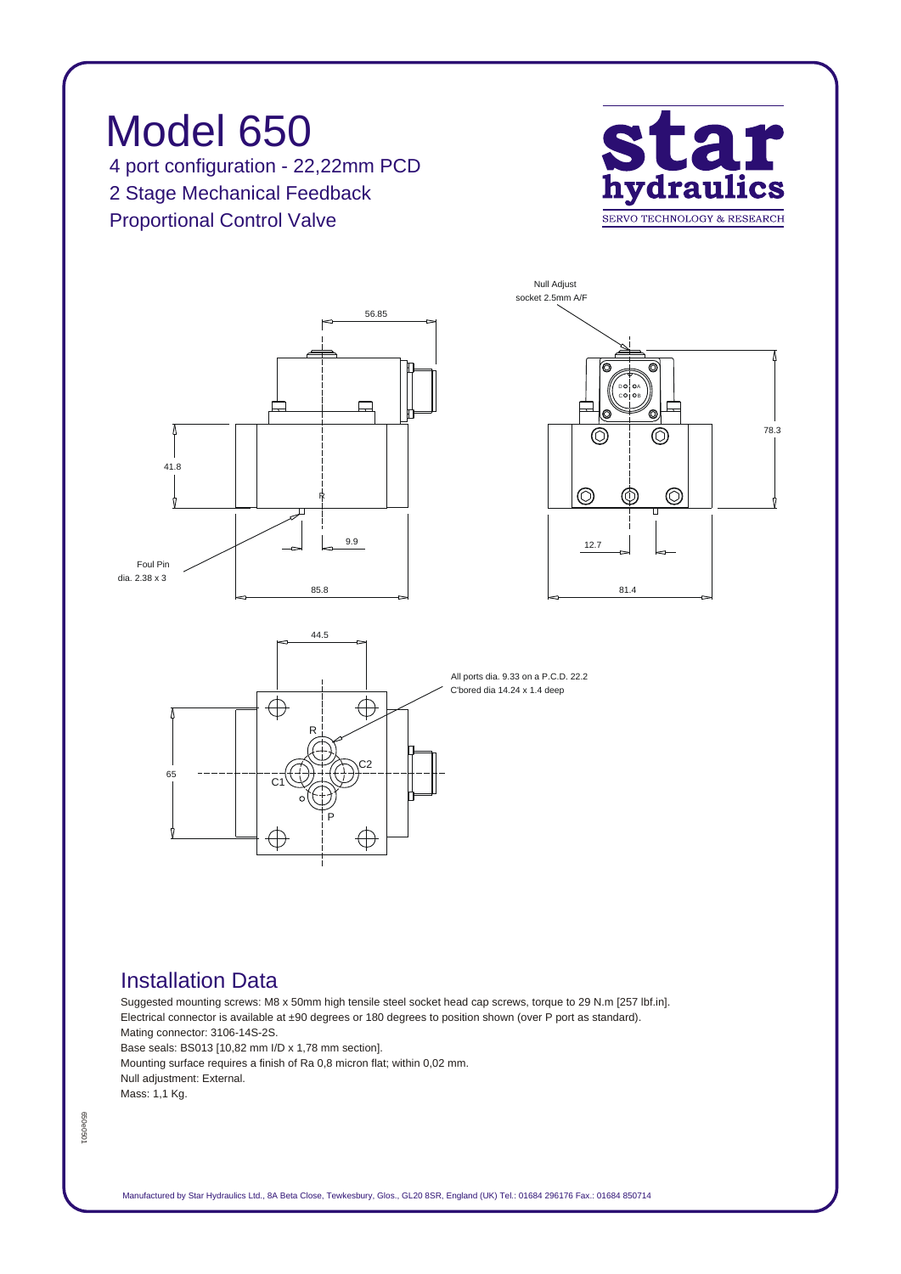## *Model 650 4 port configuration - 22,22mm PCD 2 Stage Mechanical Feedback Proportional Control Valve*



*78.3*



## *Installation Data*

*Suggested mounting screws: M8 x 50mm high tensile steel socket head cap screws, torque to 29 N.m [257 lbf.in]. Electrical connector is available at ±90 degrees or 180 degrees to position shown (over P port as standard). Mating connector: 3106-14S-2S. Base seals: BS013 [10,82 mm I/D x 1,78 mm section]. Mounting surface requires a finish of Ra 0,8 micron flat; within 0,02 mm.*

*Null adjustment: External. Mass: 1,1 Kg.*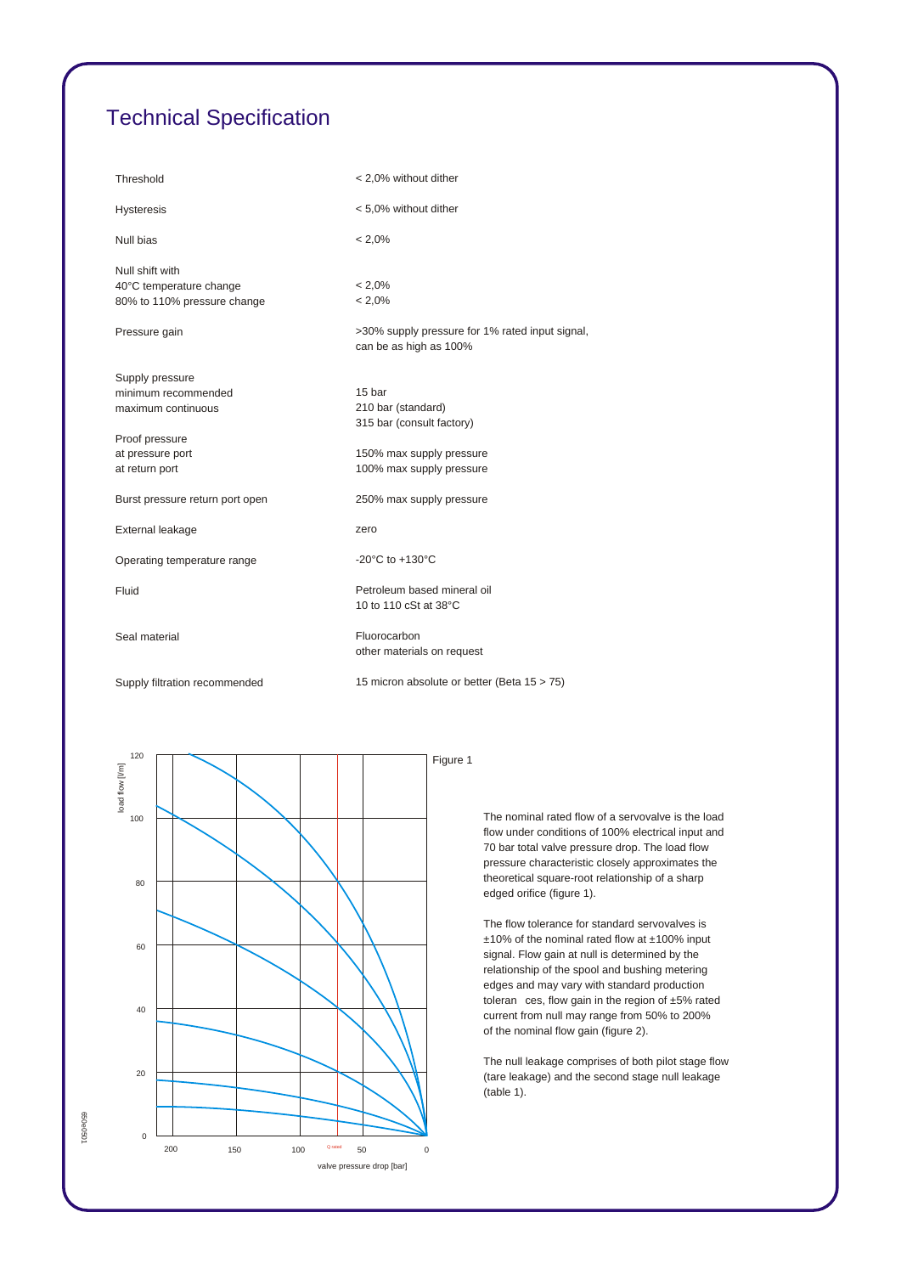## *Technical Specification*

| Threshold                                  | < 2,0% without dither                                                     |
|--------------------------------------------|---------------------------------------------------------------------------|
| <b>Hysteresis</b>                          | < 5,0% without dither                                                     |
| Null bias                                  | $< 2.0\%$                                                                 |
| Null shift with<br>40°C temperature change | $< 2.0\%$                                                                 |
| 80% to 110% pressure change                | $< 2.0\%$                                                                 |
| Pressure gain                              | >30% supply pressure for 1% rated input signal,<br>can be as high as 100% |
| Supply pressure                            |                                                                           |
| minimum recommended                        | 15 bar                                                                    |
| maximum continuous                         | 210 bar (standard)                                                        |
|                                            | 315 bar (consult factory)                                                 |
| Proof pressure                             |                                                                           |
| at pressure port                           | 150% max supply pressure                                                  |
| at return port                             | 100% max supply pressure                                                  |
| Burst pressure return port open            | 250% max supply pressure                                                  |
| External leakage                           | zero                                                                      |
| Operating temperature range                | -20 $^{\circ}$ C to +130 $^{\circ}$ C                                     |
| Fluid                                      | Petroleum based mineral oil                                               |
|                                            | 10 to 110 cSt at 38°C                                                     |
| Seal material                              | Fluorocarbon                                                              |
|                                            | other materials on request                                                |
| Supply filtration recommended              | 15 micron absolute or better (Beta 15 > 75)                               |



*The nominal rated flow of a servovalve is the load flow under conditions of 100% electrical input and 70 bar total valve pressure drop. The load flow pressure characteristic closely approximates the theoretical square-root relationship of a sharp edged orifice (figure 1).*

*The flow tolerance for standard servovalves is ±10% of the nominal rated flow at ±100% input signal. Flow gain at null is determined by the relationship of the spool and bushing metering edges and may vary with standard production toleran ces, flow gain in the region of ±5% rated current from null may range from 50% to 200% of the nominal flow gain (figure 2).*

*The null leakage comprises of both pilot stage flow (tare leakage) and the second stage null leakage (table 1).*

£50e0501 *650e0501*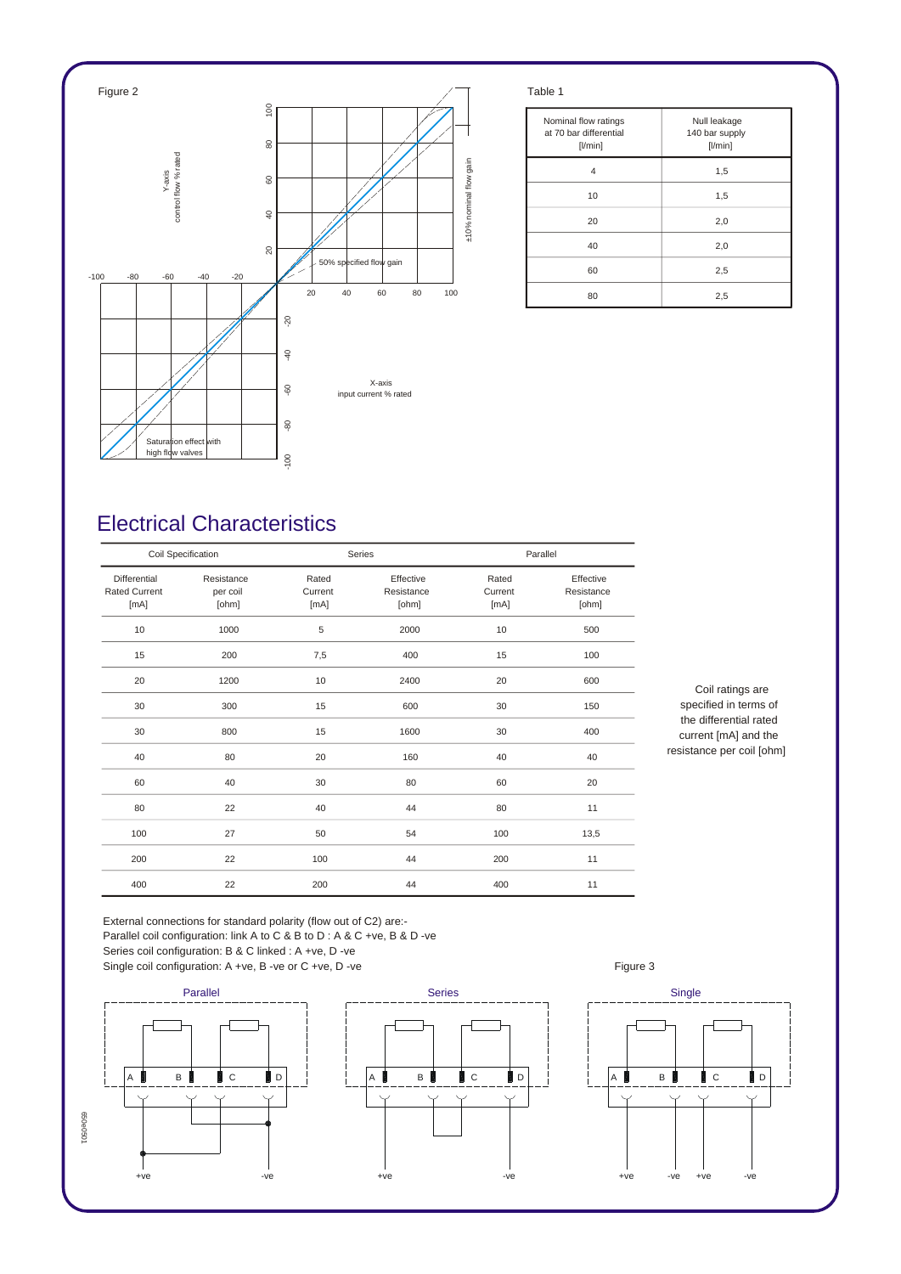

| Nominal flow ratings<br>at 70 bar differential<br>$[$ l/min $]$ | Null leakage<br>140 bar supply<br>[1/min] |  |  |
|-----------------------------------------------------------------|-------------------------------------------|--|--|
| 4                                                               | 1,5                                       |  |  |
| 10                                                              | 1,5                                       |  |  |
| 20                                                              | 2,0                                       |  |  |
| 40                                                              | 2,0                                       |  |  |
| 60                                                              | 2,5                                       |  |  |
| 80                                                              | 2,5                                       |  |  |

## *Electrical Characteristics*

| Coil Specification                           |                                 | Series                   |                                  | Parallel                 |                                  |
|----------------------------------------------|---------------------------------|--------------------------|----------------------------------|--------------------------|----------------------------------|
| Differential<br><b>Rated Current</b><br>[mA] | Resistance<br>per coil<br>[ohm] | Rated<br>Current<br>[mA] | Effective<br>Resistance<br>[ohm] | Rated<br>Current<br>[mA] | Effective<br>Resistance<br>[ohm] |
| 10                                           | 1000                            | 5                        | 2000                             | 10                       | 500                              |
| 15                                           | 200                             | 7,5                      | 400                              | 15                       | 100                              |
| 20                                           | 1200                            | 10                       | 2400                             | 20                       | 600                              |
| 30                                           | 300                             | 15                       | 600                              | 30                       | 150                              |
| 30                                           | 800                             | 15                       | 1600                             | 30                       | 400                              |
| 40                                           | 80                              | 20                       | 160                              | 40                       | 40                               |
| 60                                           | 40                              | 30                       | 80                               | 60                       | 20                               |
| 80                                           | 22                              | 40                       | 44                               | 80                       | 11                               |
| 100                                          | 27                              | 50                       | 54                               | 100                      | 13,5                             |
| 200                                          | 22                              | 100                      | 44                               | 200                      | 11                               |
| 400                                          | 22                              | 200                      | 44                               | 400                      | 11                               |

*Coil ratings are specified in terms of the differential rated current [mA] and the resistance per coil [ohm]*

*External connections for standard polarity (flow out of C2) are:- Parallel coil configuration: link A to C & B to D : A & C +ve, B & D -ve Series coil configuration: B & C linked : A +ve, D -ve*